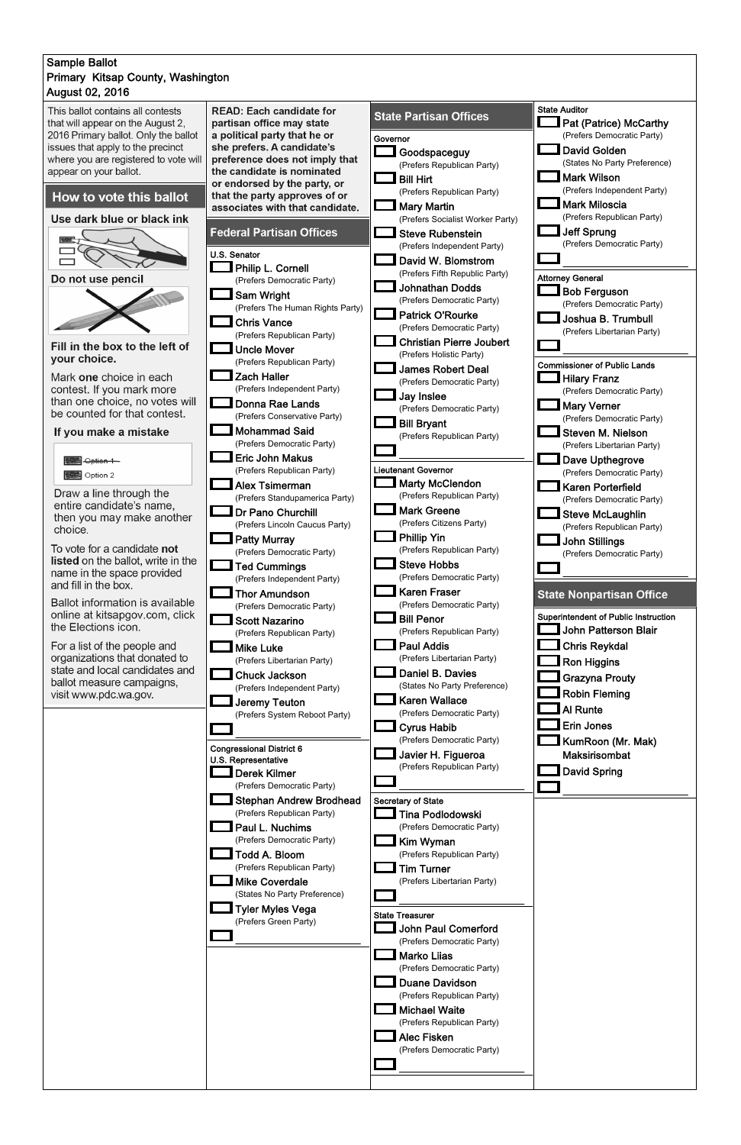## August 02, 2016 Sample Ballot Primary Kitsap County, Washington